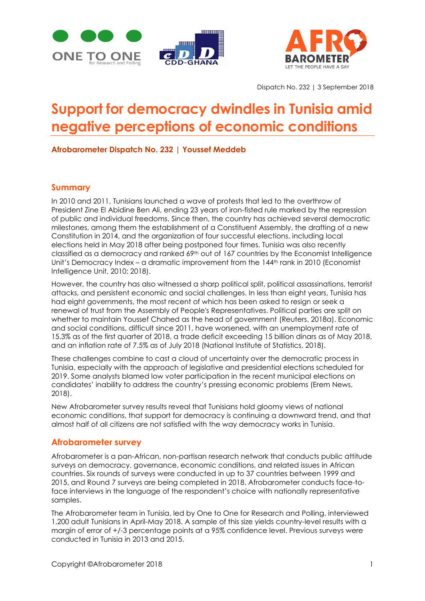





Dispatch No. 232 | 3 September 2018

# **Support for democracy dwindles in Tunisia amid negative perceptions of economic conditions**

**Afrobarometer Dispatch No. 232 | Youssef Meddeb**

## **Summary**

In 2010 and 2011, Tunisians launched a wave of protests that led to the overthrow of President Zine El Abidine Ben Ali, ending 23 years of iron-fisted rule marked by the repression of public and individual freedoms. Since then, the country has achieved several democratic milestones, among them the establishment of a Constituent Assembly, the drafting of a new Constitution in 2014, and the organization of four successful elections, including local elections held in May 2018 after being postponed four times. Tunisia was also recently classified as a democracy and ranked 69<sup>th</sup> out of 167 countries by the Economist Intelligence Unit's Democracy Index – a dramatic improvement from the 144<sup>th</sup> rank in 2010 (Economist Intelligence Unit, 2010; 2018).

However, the country has also witnessed a sharp political split, political assassinations, terrorist attacks, and persistent economic and social challenges. In less than eight years, Tunisia has had eight governments, the most recent of which has been asked to resign or seek a renewal of trust from the Assembly of People's Representatives. Political parties are split on whether to maintain Youssef Chahed as the head of government (Reuters, 2018a). Economic and social conditions, difficult since 2011, have worsened, with an unemployment rate of 15.3% as of the first quarter of 2018, a trade deficit exceeding 15 billion dinars as of May 2018, and an inflation rate of 7.5% as of July 2018 (National Institute of Statistics, 2018).

These challenges combine to cast a cloud of uncertainty over the democratic process in Tunisia, especially with the approach of legislative and presidential elections scheduled for 2019. Some analysts blamed low voter participation in the recent municipal elections on candidates' inability to address the country's pressing economic problems (Erem News, 2018).

New Afrobarometer survey results reveal that Tunisians hold gloomy views of national economic conditions, that support for democracy is continuing a downward trend, and that almost half of all citizens are not satisfied with the way democracy works in Tunisia.

## **Afrobarometer survey**

Afrobarometer is a pan-African, non-partisan research network that conducts public attitude surveys on democracy, governance, economic conditions, and related issues in African countries. Six rounds of surveys were conducted in up to 37 countries between 1999 and 2015, and Round 7 surveys are being completed in 2018. Afrobarometer conducts face-toface interviews in the language of the respondent's choice with nationally representative samples.

The Afrobarometer team in Tunisia, led by One to One for Research and Polling, interviewed 1,200 adult Tunisians in April-May 2018. A sample of this size yields country-level results with a margin of error of +/-3 percentage points at a 95% confidence level. Previous surveys were conducted in Tunisia in 2013 and 2015.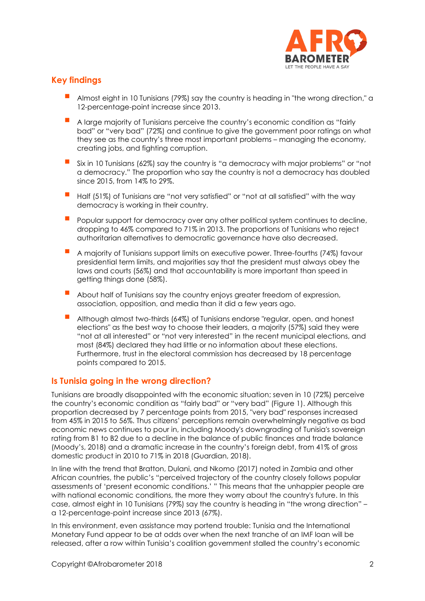

# **Key findings**

- Almost eight in 10 Tunisians (79%) say the country is heading in "the wrong direction," a 12-percentage-point increase since 2013.
- **A** large majority of Tunisians perceive the country's economic condition as "fairly bad" or "very bad" (72%) and continue to give the government poor ratings on what they see as the country's three most important problems – managing the economy, creating jobs, and fighting corruption.
- Six in 10 Tunisians (62%) say the country is "a democracy with major problems" or "not a democracy." The proportion who say the country is not a democracy has doubled since 2015, from 14% to 29%.
- Half (51%) of Tunisians are "not very satisfied" or "not at all satisfied" with the way democracy is working in their country.
- Popular support for democracy over any other political system continues to decline, dropping to 46% compared to 71% in 2013. The proportions of Tunisians who reject authoritarian alternatives to democratic governance have also decreased.
- A majority of Tunisians support limits on executive power. Three-fourths (74%) favour presidential term limits, and majorities say that the president must always obey the laws and courts (56%) and that accountability is more important than speed in getting things done (58%).
- About half of Tunisians say the country enjoys greater freedom of expression, association, opposition, and media than it did a few years ago.
- Although almost two-thirds (64%) of Tunisians endorse "regular, open, and honest elections" as the best way to choose their leaders, a majority (57%) said they were "not at all interested" or "not very interested" in the recent municipal elections, and most (84%) declared they had little or no information about these elections. Furthermore, trust in the electoral commission has decreased by 18 percentage points compared to 2015.

## **Is Tunisia going in the wrong direction?**

Tunisians are broadly disappointed with the economic situation; seven in 10 (72%) perceive the country's economic condition as "fairly bad" or "very bad" (Figure 1). Although this proportion decreased by 7 percentage points from 2015, "very bad" responses increased from 45% in 2015 to 56%. Thus citizens' perceptions remain overwhelmingly negative as bad economic news continues to pour in, including Moody's downgrading of Tunisia's sovereign rating from B1 to B2 due to a decline in the balance of public finances and trade balance (Moody's, 2018) and a dramatic increase in the country's foreign debt, from 41% of gross domestic product in 2010 to 71% in 2018 (Guardian, 2018).

In line with the trend that Bratton, Dulani, and Nkomo (2017) noted in Zambia and other African countries, the public's "perceived trajectory of the country closely follows popular assessments of 'present economic conditions.' " This means that the unhappier people are with national economic conditions, the more they worry about the country's future. In this case, almost eight in 10 Tunisians (79%) say the country is heading in "the wrong direction" – a 12-percentage-point increase since 2013 (67%).

In this environment, even assistance may portend trouble: Tunisia and the International Monetary Fund appear to be at odds over when the next tranche of an IMF loan will be released, after a row within Tunisia's coalition government stalled the country's economic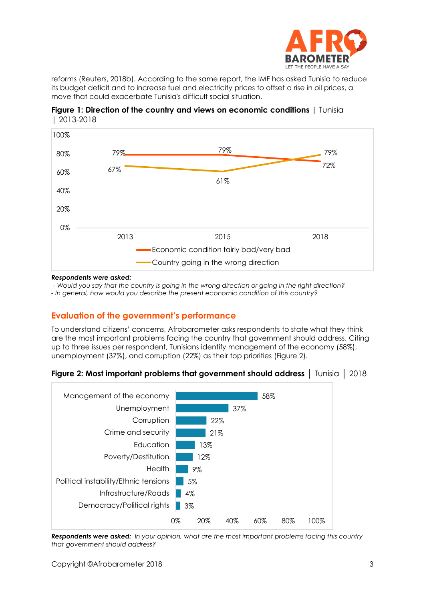

reforms (Reuters, 2018b). According to the same report, the IMF has asked Tunisia to reduce its budget deficit and to increase fuel and electricity prices to offset a rise in oil prices, a move that could exacerbate Tunisia's difficult social situation.





#### *Respondents were asked:*

*- Would you say that the country is going in the wrong direction or going in the right direction?*

*- In general, how would you describe the present economic condition of this country?*

# **Evaluation of the government's performance**

To understand citizens' concerns, Afrobarometer asks respondents to state what they think are the most important problems facing the country that government should address. Citing up to three issues per respondent, Tunisians identify management of the economy (58%), unemployment (37%), and corruption (22%) as their top priorities (Figure 2).





*Respondents were asked: In your opinion, what are the most important problems facing this country that government should address?*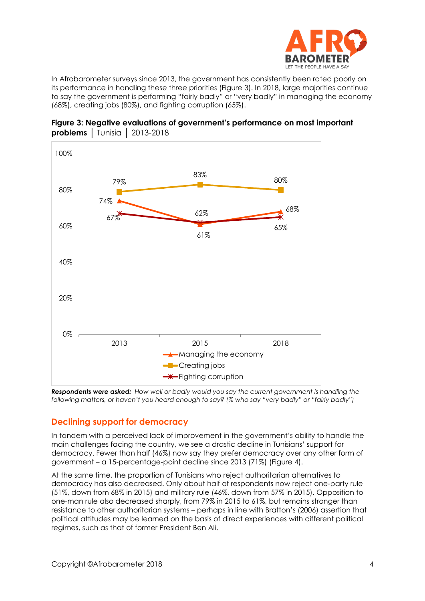

In Afrobarometer surveys since 2013, the government has consistently been rated poorly on its performance in handling these three priorities (Figure 3). In 2018, large majorities continue to say the government is performing "fairly badly" or "very badly" in managing the economy (68%), creating jobs (80%), and fighting corruption (65%).



**Figure 3: Negative evaluations of government's performance on most important problems** │ Tunisia │ 2013-2018

*Respondents were asked: How well or badly would you say the current government is handling the following matters, or haven't you heard enough to say? (% who say "very badly" or "fairly badly")*

## **Declining support for democracy**

In tandem with a perceived lack of improvement in the government's ability to handle the main challenges facing the country, we see a drastic decline in Tunisians' support for democracy. Fewer than half (46%) now say they prefer democracy over any other form of government – a 15-percentage-point decline since 2013 (71%) (Figure 4).

At the same time, the proportion of Tunisians who reject authoritarian alternatives to democracy has also decreased. Only about half of respondents now reject one-party rule (51%, down from 68% in 2015) and military rule (46%, down from 57% in 2015). Opposition to one-man rule also decreased sharply, from 79% in 2015 to 61%, but remains stronger than resistance to other authoritarian systems – perhaps in line with Bratton's (2006) assertion that political attitudes may be learned on the basis of direct experiences with different political regimes, such as that of former President Ben Ali.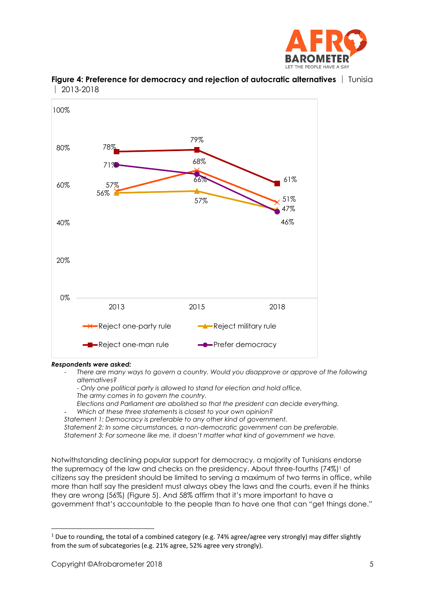



**Figure 4: Preference for democracy and rejection of autocratic alternatives** │ Tunisia │ 2013-2018

#### *Respondents were asked:*

- *There are many ways to govern a country. Would you disapprove or approve of the following alternatives?* 
	- *- Only one political party is allowed to stand for election and hold office. The army comes in to govern the country.*
	- *Elections and Parliament are abolished so that the president can decide everything.* - *Which of these three statements is closest to your own opinion?*
- *Statement 1: Democracy is preferable to any other kind of government.*

*Statement 2: In some circumstances, a non-democratic government can be preferable. Statement 3: For someone like me, it doesn't matter what kind of government we have.*

Notwithstanding declining popular support for democracy, a majority of Tunisians endorse the supremacy of the law and checks on the presidency. About three-fourths (74%)<sup>1</sup> of citizens say the president should be limited to serving a maximum of two terms in office, while more than half say the president must always obey the laws and the courts, even if he thinks they are wrong (56%) (Figure 5). And 58% affirm that it's more important to have a government that's accountable to the people than to have one that can "get things done."

 $1$  Due to rounding, the total of a combined category (e.g. 74% agree/agree very strongly) may differ slightly from the sum of subcategories (e.g. 21% agree, 52% agree very strongly).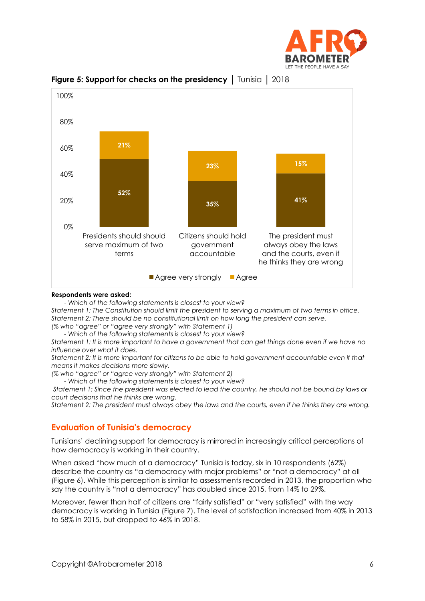



**Figure 5: Support for checks on the presidency** | Tunisia | 2018

#### **Respondents were asked:**

- *Which of the following statements is closest to your view? Statement 1: The Constitution should limit the president to serving a maximum of two terms in office. Statement 2: There should be no constitutional limit on how long the president can serve. (% who "agree" or "agree very strongly" with Statement 1)*

*- Which of the following statements is closest to your view?*

*Statement 1: It is more important to have a government that can get things done even if we have no influence over what it does.* 

*Statement 2: It is more important for citizens to be able to hold government accountable even if that means it makes decisions more slowly.* 

*(% who "agree" or "agree very strongly" with Statement 2)*

*- Which of the following statements is closest to your view?*

*Statement 1: Since the president was elected to lead the country, he should not be bound by laws or court decisions that he thinks are wrong.*

*Statement 2: The president must always obey the laws and the courts, even if he thinks they are wrong.*

## **Evaluation of Tunisia's democracy**

Tunisians' declining support for democracy is mirrored in increasingly critical perceptions of how democracy is working in their country.

When asked "how much of a democracy" Tunisia is today, six in 10 respondents (62%) describe the country as "a democracy with major problems" or "not a democracy" at all (Figure 6). While this perception is similar to assessments recorded in 2013, the proportion who say the country is "not a democracy" has doubled since 2015, from 14% to 29%.

Moreover, fewer than half of citizens are "fairly satisfied" or "very satisfied" with the way democracy is working in Tunisia (Figure 7). The level of satisfaction increased from 40% in 2013 to 58% in 2015, but dropped to 46% in 2018.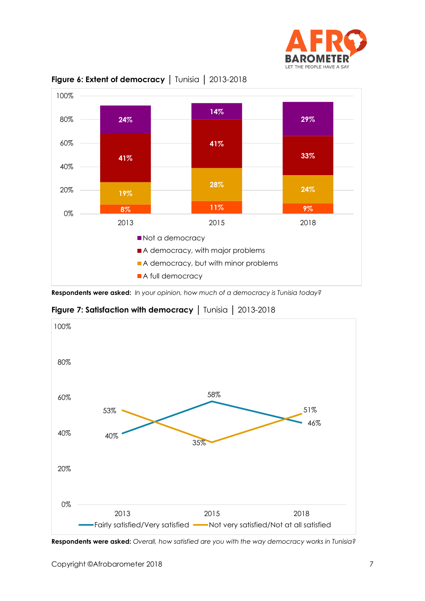



**Figure 6: Extent of democracy** │ Tunisia │ 2013-2018

**Respondents were asked:** *In your opinion, how much of a democracy is Tunisia today?*

**Figure 7: Satisfaction with democracy** | Tunisia | 2013-2018



**Respondents were asked:** *Overall, how satisfied are you with the way democracy works in Tunisia?*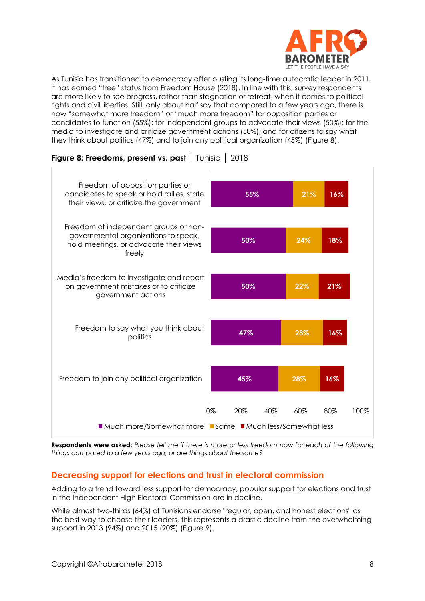

As Tunisia has transitioned to democracy after ousting its long-time autocratic leader in 2011, it has earned "free" status from Freedom House (2018). In line with this, survey respondents are more likely to see progress, rather than stagnation or retreat, when it comes to political rights and civil liberties. Still, only about half say that compared to a few years ago, there is now "somewhat more freedom" or "much more freedom" for opposition parties or candidates to function (55%); for independent groups to advocate their views (50%); for the media to investigate and criticize government actions (50%); and for citizens to say what they think about politics (47%) and to join any political organization (45%) (Figure 8).



**Figure 8: Freedoms, present vs. past** │ Tunisia │ 2018

**Respondents were asked:** *Please tell me if there is more or less freedom now for each of the following things compared to a few years ago, or are things about the same?*

# **Decreasing support for elections and trust in electoral commission**

Adding to a trend toward less support for democracy, popular support for elections and trust in the Independent High Electoral Commission are in decline.

While almost two-thirds (64%) of Tunisians endorse "regular, open, and honest elections" as the best way to choose their leaders, this represents a drastic decline from the overwhelming support in 2013 (94%) and 2015 (90%) (Figure 9).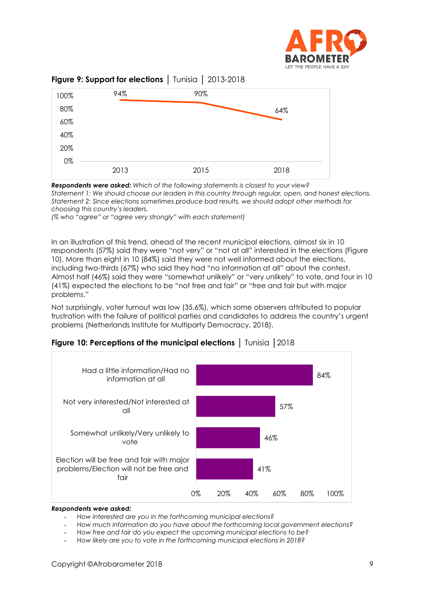



## **Figure 9: Support for elections** │ Tunisia │ 2013-2018

*Respondents were asked: Which of the following statements is closest to your view? Statement 1: We should choose our leaders in this country through regular, open, and honest elections. Statement 2: Since elections sometimes produce bad results, we should adopt other methods for choosing this country's leaders.* 

*(% who "agree" or "agree very strongly" with each statement)*

In an illustration of this trend, ahead of the recent municipal elections, almost six in 10 respondents (57%) said they were "not very" or "not at all" interested in the elections (Figure 10). More than eight in 10 (84%) said they were not well informed about the elections, including two-thirds (67%) who said they had "no information at all" about the contest. Almost half (46%) said they were "somewhat unlikely" or "very unlikely" to vote, and four in 10 (41%) expected the elections to be "not free and fair" or "free and fair but with major problems."

Not surprisingly, voter turnout was low (35.6%), which some observers attributed to popular frustration with the failure of political parties and candidates to address the country's urgent problems (Netherlands Institute for Multiparty Democracy, 2018).



**Figure 10: Perceptions of the municipal elections** | Tunisia | 2018

#### *Respondents were asked:*

- *How interested are you in the forthcoming municipal elections?*
- *How much information do you have about the forthcoming local government elections?*
- *How free and fair do you expect the upcoming municipal elections to be?*
- *How likely are you to vote in the forthcoming municipal elections in 2018?*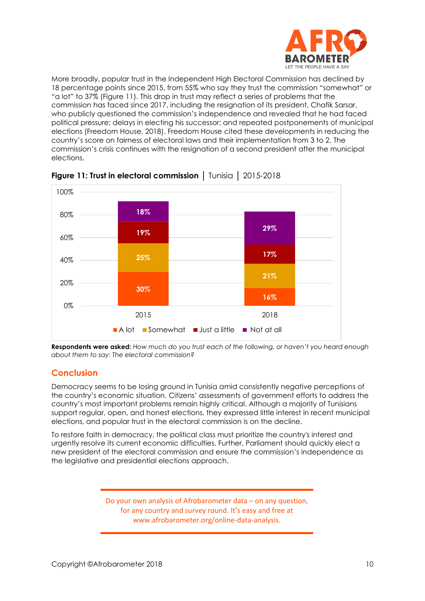

More broadly, popular trust in the Independent High Electoral Commission has declined by 18 percentage points since 2015, from 55% who say they trust the commission "somewhat" or "a lot" to 37% (Figure 11). This drop in trust may reflect a series of problems that the commission has faced since 2017, including the resignation of its president, Chafik Sarsar, who publicly questioned the commission's independence and revealed that he had faced political pressure; delays in electing his successor; and repeated postponements of municipal elections (Freedom House, 2018). Freedom House cited these developments in reducing the country's score on fairness of electoral laws and their implementation from 3 to 2. The commission's crisis continues with the resignation of a second president after the municipal elections.



**Figure 11: Trust in electoral commission** │ Tunisia │ 2015-2018

**Respondents were asked:** *How much do you trust each of the following, or haven't you heard enough about them to say: The electoral commission?*

# **Conclusion**

Democracy seems to be losing ground in Tunisia amid consistently negative perceptions of the country's economic situation. Citizens' assessments of government efforts to address the country's most important problems remain highly critical. Although a majority of Tunisians support regular, open, and honest elections, they expressed little interest in recent municipal elections, and popular trust in the electoral commission is on the decline.

To restore faith in democracy, the political class must prioritize the country's interest and urgently resolve its current economic difficulties. Further, Parliament should quickly elect a new president of the electoral commission and ensure the commission's independence as the legislative and presidential elections approach.

> Do your own analysis of Afrobarometer data – on any question, for any country and survey round. It's easy and free at www.afrobarometer.org/online-data-analysis.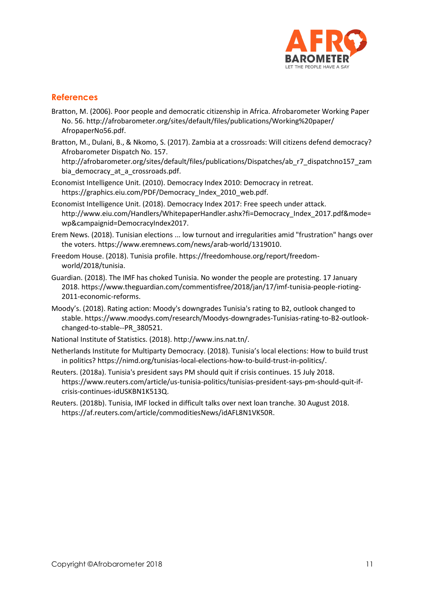

# **References**

- Bratton, M. (2006). Poor people and democratic citizenship in Africa. Afrobarometer Working Paper No. 56.<http://afrobarometer.org/sites/default/files/publications/Working%20paper/> AfropaperNo56.pdf.
- Bratton, M., Dulani, B., & Nkomo, S. (2017). Zambia at a crossroads: Will citizens defend democracy? Afrobarometer Dispatch No. 157.

- Economist Intelligence Unit. (2010). Democracy Index 2010: Democracy in retreat. https://graphics.eiu.com/PDF/Democracy\_Index\_2010\_web.pdf.
- Economist Intelligence Unit. (2018). Democracy Index 2017: Free speech under attack. http://www.eiu.com/Handlers/WhitepaperHandler.ashx?fi=Democracy\_Index\_2017.pdf&mode= wp&campaignid=DemocracyIndex2017.
- Erem News. (2018). Tunisian elections ... low turnout and irregularities amid "frustration" hangs over the voters. https://www.eremnews.com/news/arab-world/1319010.
- Freedom House. (2018). Tunisia profile. https://freedomhouse.org/report/freedomworld/2018/tunisia.
- Guardian. (2018). The IMF has choked Tunisia. No wonder the people are protesting. 17 January 2018. https://www.theguardian.com/commentisfree/2018/jan/17/imf-tunisia-people-rioting-2011-economic-reforms.
- Moody's. (2018). Rating action: Moody's downgrades Tunisia's rating to B2, outlook changed to stable. https://www.moodys.com/research/Moodys-downgrades-Tunisias-rating-to-B2-outlookchanged-to-stable--PR\_380521.
- National Institute of Statistics. (2018). http://www.ins.nat.tn/.
- Netherlands Institute for Multiparty Democracy. (2018). Tunisia's local elections: How to build trust in politics? https://nimd.org/tunisias-local-elections-how-to-build-trust-in-politics/.
- Reuters. (2018a). Tunisia's president says PM should quit if crisis continues. 15 July 2018. [https://www.reuters.com/article/us-tunisia-politics/tunisias-president-says-pm-should-quit-if](https://www.reuters.com/article/us-tunisia-politics/tunisias-president-says-pm-should-quit-if-crisis-continues-idUSKBN1K513Q)[crisis-continues-idUSKBN1K513Q.](https://www.reuters.com/article/us-tunisia-politics/tunisias-president-says-pm-should-quit-if-crisis-continues-idUSKBN1K513Q)
- Reuters. (2018b). Tunisia, IMF locked in difficult talks over next loan tranche. 30 August 2018. [https://af.reuters.com/article/commoditiesNews/idAFL8N1VK50R.](https://af.reuters.com/article/commoditiesNews/idAFL8N1VK50R)

http://afrobarometer.org/sites/default/files/publications/Dispatches/ab\_r7\_dispatchno157\_zam bia democracy at a crossroads.pdf.